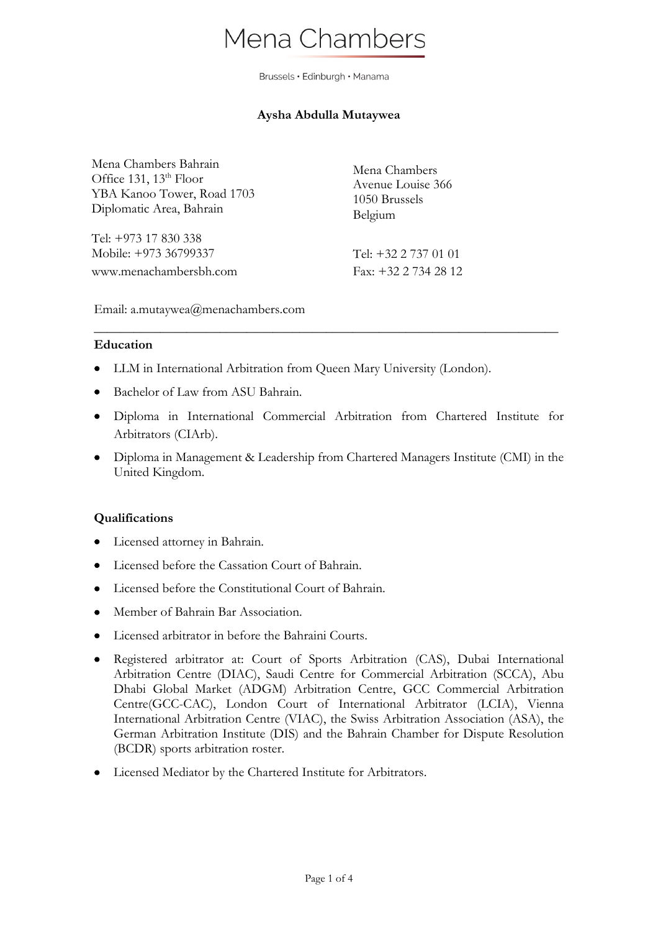# Mena Chambers

Brussels · Edinburgh · Manama

# **Aysha Abdulla Mutaywea**

Mena Chambers Bahrain Office 131,  $13<sup>th</sup>$  Floor YBA Kanoo Tower, Road 1703 Diplomatic Area, Bahrain

Tel: +973 17 830 338 Mobile: +973 36799337 www.menachambersbh.com Mena Chambers Avenue Louise 366 1050 Brussels Belgium

Tel: +32 2 737 01 01 Fax: +32 2 734 28 12

Email: a.mutaywea@menachambers.com

#### **Education**

- LLM in International Arbitration from Queen Mary University (London).
- Bachelor of Law from ASU Bahrain.
- Diploma in International Commercial Arbitration from Chartered Institute for Arbitrators (CIArb).

\_\_\_\_\_\_\_\_\_\_\_\_\_\_\_\_\_\_\_\_\_\_\_\_\_\_\_\_\_\_\_\_\_\_\_\_\_\_\_\_\_\_\_\_\_\_\_\_\_\_\_\_\_\_\_\_\_\_\_\_\_\_\_\_\_\_\_\_\_\_

• Diploma in Management & Leadership from Chartered Managers Institute (CMI) in the United Kingdom.

#### **Qualifications**

- Licensed attorney in Bahrain.
- Licensed before the Cassation Court of Bahrain.
- Licensed before the Constitutional Court of Bahrain.
- Member of Bahrain Bar Association.
- Licensed arbitrator in before the Bahraini Courts.
- Registered arbitrator at: Court of Sports Arbitration (CAS), Dubai International Arbitration Centre (DIAC), Saudi Centre for Commercial Arbitration (SCCA), Abu Dhabi Global Market (ADGM) Arbitration Centre, GCC Commercial Arbitration Centre(GCC-CAC), London Court of International Arbitrator (LCIA), Vienna International Arbitration Centre (VIAC), the Swiss Arbitration Association (ASA), the German Arbitration Institute (DIS) and the Bahrain Chamber for Dispute Resolution (BCDR) sports arbitration roster.
- Licensed Mediator by the Chartered Institute for Arbitrators.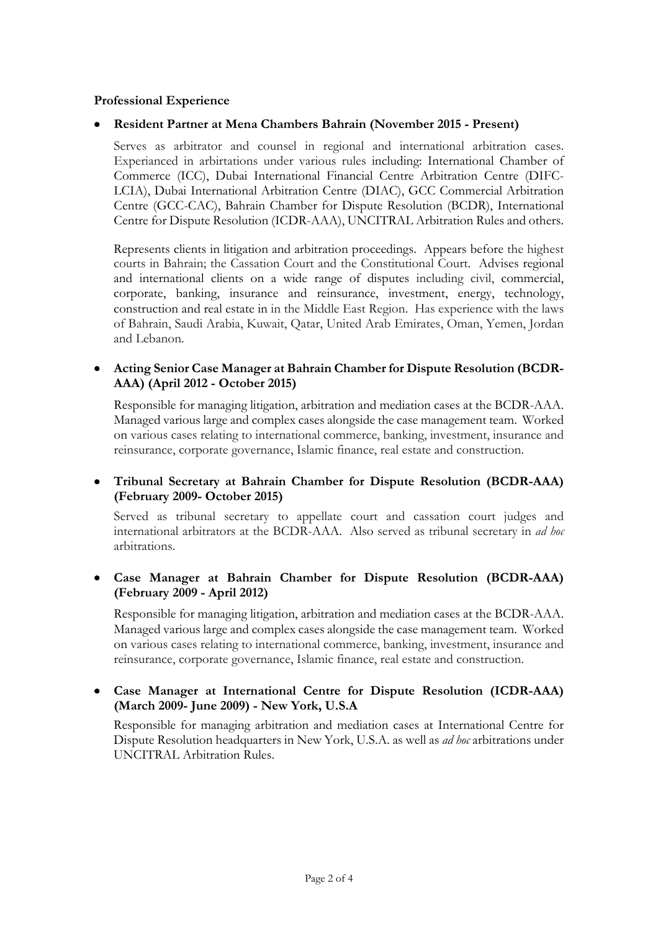## **Professional Experience**

## • **Resident Partner at Mena Chambers Bahrain (November 2015 - Present)**

Serves as arbitrator and counsel in regional and international arbitration cases. Experianced in arbirtations under various rules including: International Chamber of Commerce (ICC), Dubai International Financial Centre Arbitration Centre (DIFC-LCIA), Dubai International Arbitration Centre (DIAC), GCC Commercial Arbitration Centre (GCC-CAC), Bahrain Chamber for Dispute Resolution (BCDR), International Centre for Dispute Resolution (ICDR-AAA), UNCITRAL Arbitration Rules and others.

Represents clients in litigation and arbitration proceedings. Appears before the highest courts in Bahrain; the Cassation Court and the Constitutional Court. Advises regional and international clients on a wide range of disputes including civil, commercial, corporate, banking, insurance and reinsurance, investment, energy, technology, construction and real estate in in the Middle East Region. Has experience with the laws of Bahrain, Saudi Arabia, Kuwait, Qatar, United Arab Emirates, Oman, Yemen, Jordan and Lebanon.

#### • **Acting Senior Case Manager at Bahrain Chamber for Dispute Resolution (BCDR-AAA) (April 2012 - October 2015)**

Responsible for managing litigation, arbitration and mediation cases at the BCDR-AAA. Managed various large and complex cases alongside the case management team. Worked on various cases relating to international commerce, banking, investment, insurance and reinsurance, corporate governance, Islamic finance, real estate and construction.

## • **Tribunal Secretary at Bahrain Chamber for Dispute Resolution (BCDR-AAA) (February 2009- October 2015)**

Served as tribunal secretary to appellate court and cassation court judges and international arbitrators at the BCDR-AAA. Also served as tribunal secretary in *ad hoc* arbitrations.

## • **Case Manager at Bahrain Chamber for Dispute Resolution (BCDR-AAA) (February 2009 - April 2012)**

Responsible for managing litigation, arbitration and mediation cases at the BCDR-AAA. Managed various large and complex cases alongside the case management team. Worked on various cases relating to international commerce, banking, investment, insurance and reinsurance, corporate governance, Islamic finance, real estate and construction.

## • **Case Manager at International Centre for Dispute Resolution (ICDR-AAA) (March 2009- June 2009) - New York, U.S.A**

Responsible for managing arbitration and mediation cases at International Centre for Dispute Resolution headquarters in New York, U.S.A. as well as *ad hoc* arbitrations under UNCITRAL Arbitration Rules.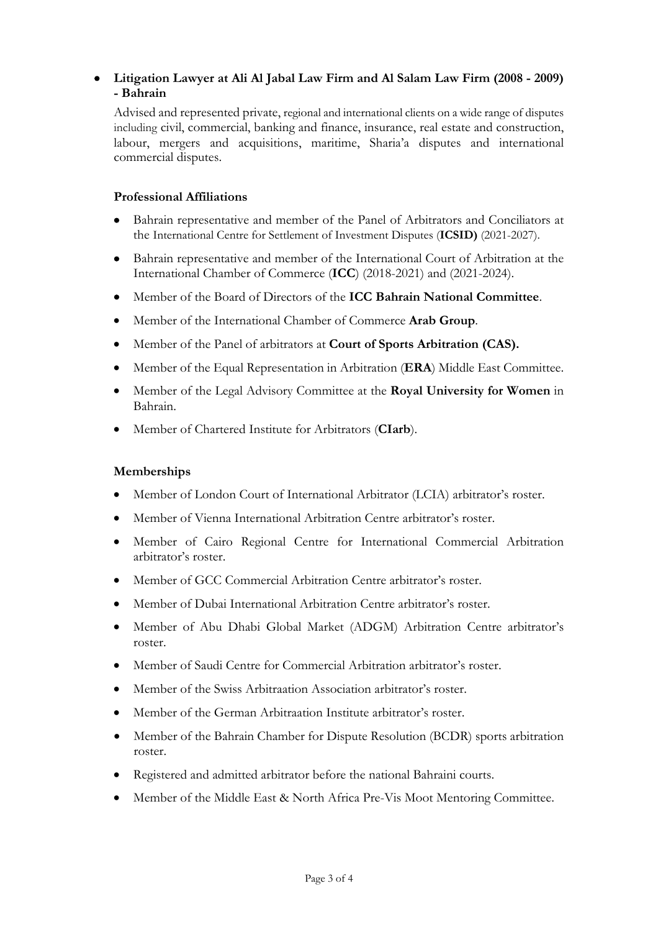# • **Litigation Lawyer at Ali Al Jabal Law Firm and Al Salam Law Firm (2008 - 2009) - Bahrain**

Advised and represented private, regional and international clients on a wide range of disputes including civil, commercial, banking and finance, insurance, real estate and construction, labour, mergers and acquisitions, maritime, Sharia'a disputes and international commercial disputes.

## **Professional Affiliations**

- Bahrain representative and member of the Panel of Arbitrators and Conciliators at the International Centre for Settlement of Investment Disputes (**ICSID)** (2021-2027).
- Bahrain representative and member of the International Court of Arbitration at the International Chamber of Commerce (**ICC**) (2018-2021) and (2021-2024).
- Member of the Board of Directors of the **ICC Bahrain National Committee**.
- Member of the International Chamber of Commerce **Arab Group**.
- Member of the Panel of arbitrators at **Court of Sports Arbitration (CAS).**
- Member of the Equal Representation in Arbitration (**ERA**) Middle East Committee.
- Member of the Legal Advisory Committee at the **Royal University for Women** in Bahrain.
- Member of Chartered Institute for Arbitrators (**CIarb**).

#### **Memberships**

- Member of London Court of International Arbitrator (LCIA) arbitrator's roster.
- Member of Vienna International Arbitration Centre arbitrator's roster.
- Member of Cairo Regional Centre for International Commercial Arbitration arbitrator's roster.
- Member of GCC Commercial Arbitration Centre arbitrator's roster.
- Member of Dubai International Arbitration Centre arbitrator's roster.
- Member of Abu Dhabi Global Market (ADGM) Arbitration Centre arbitrator's roster.
- Member of Saudi Centre for Commercial Arbitration arbitrator's roster.
- Member of the Swiss Arbitraation Association arbitrator's roster.
- Member of the German Arbitraation Institute arbitrator's roster.
- Member of the Bahrain Chamber for Dispute Resolution (BCDR) sports arbitration roster.
- Registered and admitted arbitrator before the national Bahraini courts.
- Member of the Middle East & North Africa Pre-Vis Moot Mentoring Committee.